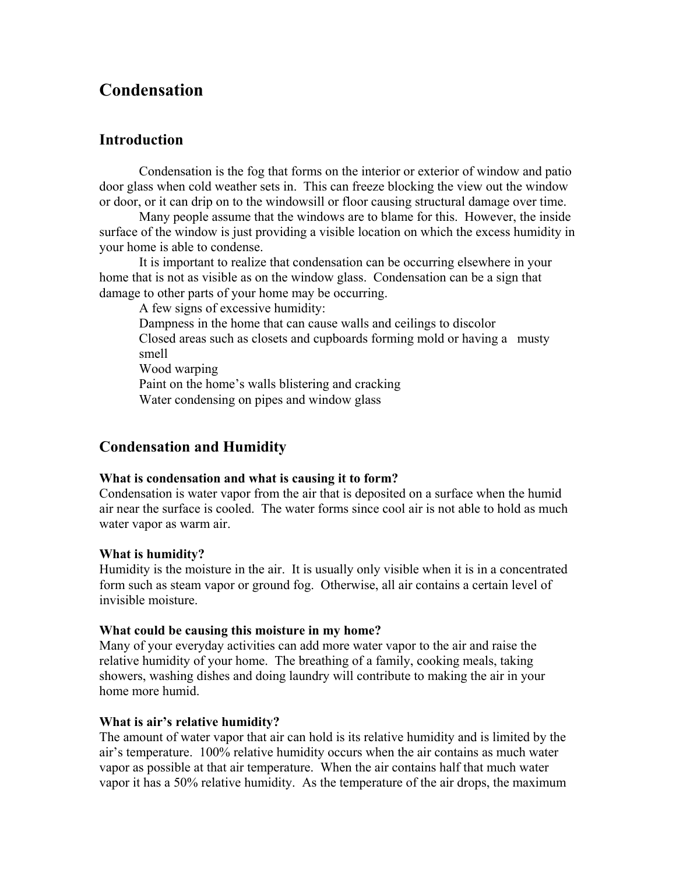# **Condensation**

## **Introduction**

Condensation is the fog that forms on the interior or exterior of window and patio door glass when cold weather sets in. This can freeze blocking the view out the window or door, or it can drip on to the windowsill or floor causing structural damage over time.

 Many people assume that the windows are to blame for this. However, the inside surface of the window is just providing a visible location on which the excess humidity in your home is able to condense.

 It is important to realize that condensation can be occurring elsewhere in your home that is not as visible as on the window glass. Condensation can be a sign that damage to other parts of your home may be occurring.

A few signs of excessive humidity:

 Dampness in the home that can cause walls and ceilings to discolor Closed areas such as closets and cupboards forming mold or having a musty smell

Wood warping

 Paint on the home's walls blistering and cracking Water condensing on pipes and window glass

## **Condensation and Humidity**

## **What is condensation and what is causing it to form?**

Condensation is water vapor from the air that is deposited on a surface when the humid air near the surface is cooled. The water forms since cool air is not able to hold as much water vapor as warm air.

## **What is humidity?**

Humidity is the moisture in the air. It is usually only visible when it is in a concentrated form such as steam vapor or ground fog. Otherwise, all air contains a certain level of invisible moisture.

#### **What could be causing this moisture in my home?**

Many of your everyday activities can add more water vapor to the air and raise the relative humidity of your home. The breathing of a family, cooking meals, taking showers, washing dishes and doing laundry will contribute to making the air in your home more humid.

## **What is air's relative humidity?**

The amount of water vapor that air can hold is its relative humidity and is limited by the air's temperature. 100% relative humidity occurs when the air contains as much water vapor as possible at that air temperature. When the air contains half that much water vapor it has a 50% relative humidity. As the temperature of the air drops, the maximum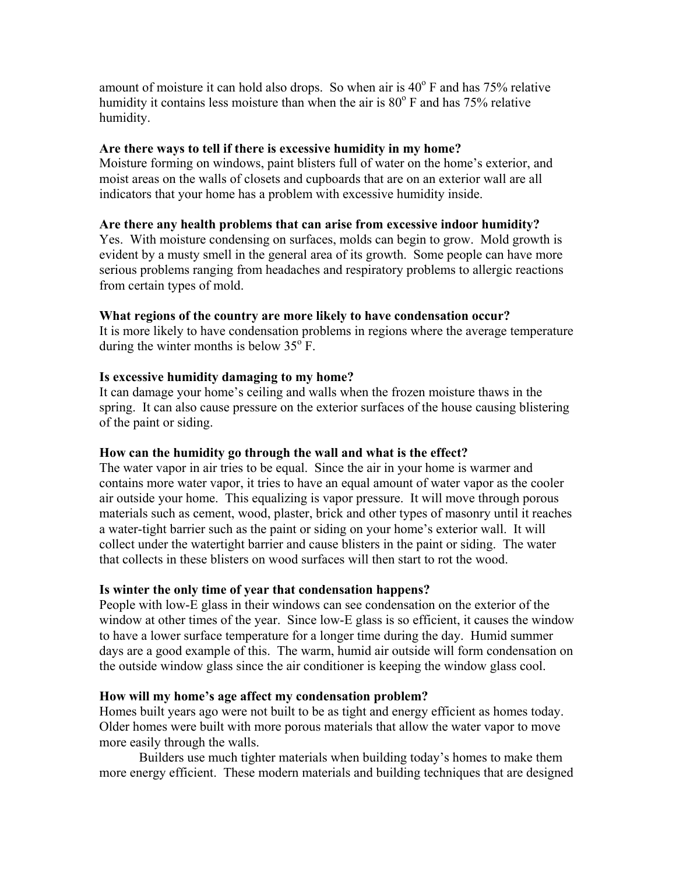amount of moisture it can hold also drops. So when air is  $40^{\circ}$  F and has 75% relative humidity it contains less moisture than when the air is  $80^{\circ}$  F and has 75% relative humidity.

### **Are there ways to tell if there is excessive humidity in my home?**

Moisture forming on windows, paint blisters full of water on the home's exterior, and moist areas on the walls of closets and cupboards that are on an exterior wall are all indicators that your home has a problem with excessive humidity inside.

## **Are there any health problems that can arise from excessive indoor humidity?**

Yes. With moisture condensing on surfaces, molds can begin to grow. Mold growth is evident by a musty smell in the general area of its growth. Some people can have more serious problems ranging from headaches and respiratory problems to allergic reactions from certain types of mold.

## **What regions of the country are more likely to have condensation occur?**

It is more likely to have condensation problems in regions where the average temperature during the winter months is below  $35^{\circ}$  F.

## **Is excessive humidity damaging to my home?**

It can damage your home's ceiling and walls when the frozen moisture thaws in the spring. It can also cause pressure on the exterior surfaces of the house causing blistering of the paint or siding.

## **How can the humidity go through the wall and what is the effect?**

The water vapor in air tries to be equal. Since the air in your home is warmer and contains more water vapor, it tries to have an equal amount of water vapor as the cooler air outside your home. This equalizing is vapor pressure. It will move through porous materials such as cement, wood, plaster, brick and other types of masonry until it reaches a water-tight barrier such as the paint or siding on your home's exterior wall. It will collect under the watertight barrier and cause blisters in the paint or siding. The water that collects in these blisters on wood surfaces will then start to rot the wood.

## **Is winter the only time of year that condensation happens?**

People with low-E glass in their windows can see condensation on the exterior of the window at other times of the year. Since low-E glass is so efficient, it causes the window to have a lower surface temperature for a longer time during the day. Humid summer days are a good example of this. The warm, humid air outside will form condensation on the outside window glass since the air conditioner is keeping the window glass cool.

#### **How will my home's age affect my condensation problem?**

Homes built years ago were not built to be as tight and energy efficient as homes today. Older homes were built with more porous materials that allow the water vapor to move more easily through the walls.

 Builders use much tighter materials when building today's homes to make them more energy efficient. These modern materials and building techniques that are designed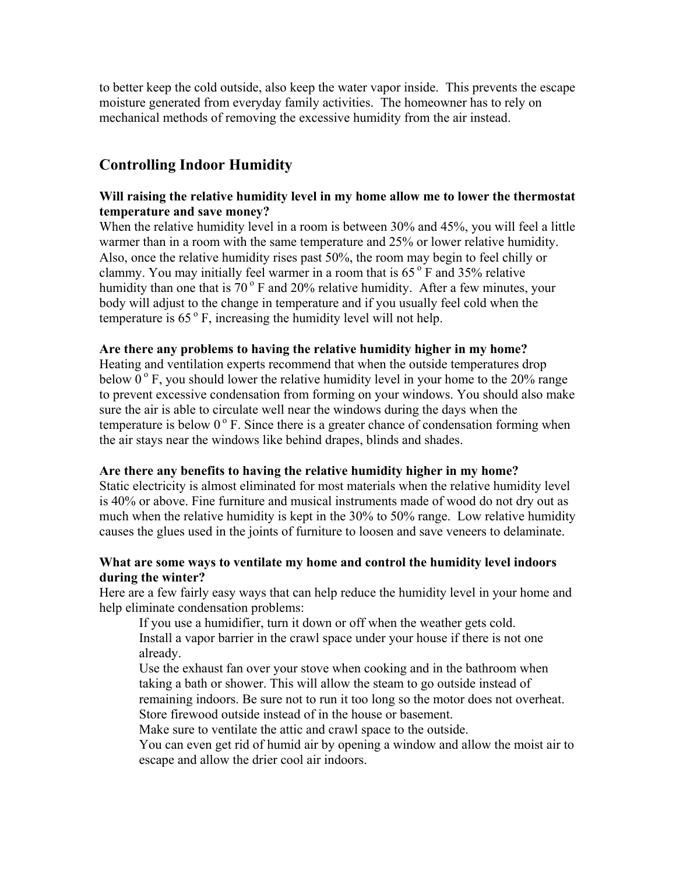to better keep the cold outside, also keep the water vapor inside. This prevents the escape moisture generated from everyday family activities. The homeowner has to rely on mechanical methods of removing the excessive humidity from the air instead.

## **Controlling Indoor Humidity**

## **Will raising the relative humidity level in my home allow me to lower the thermostat temperature and save money?**

When the relative humidity level in a room is between 30% and 45%, you will feel a little warmer than in a room with the same temperature and 25% or lower relative humidity. Also, once the relative humidity rises past 50%, the room may begin to feel chilly or clammy. You may initially feel warmer in a room that is  $65^{\circ}$  F and 35% relative humidity than one that is  $70^{\circ}$  F and  $20\%$  relative humidity. After a few minutes, your body will adjust to the change in temperature and if you usually feel cold when the temperature is  $65^\circ$  F, increasing the humidity level will not help.

## **Are there any problems to having the relative humidity higher in my home?**

Heating and ventilation experts recommend that when the outside temperatures drop below  $0^{\circ}$  F, you should lower the relative humidity level in your home to the 20% range to prevent excessive condensation from forming on your windows. You should also make sure the air is able to circulate well near the windows during the days when the temperature is below  $0^{\circ}$  F. Since there is a greater chance of condensation forming when the air stays near the windows like behind drapes, blinds and shades.

## **Are there any benefits to having the relative humidity higher in my home?**

Static electricity is almost eliminated for most materials when the relative humidity level is 40% or above. Fine furniture and musical instruments made of wood do not dry out as much when the relative humidity is kept in the 30% to 50% range. Low relative humidity causes the glues used in the joints of furniture to loosen and save veneers to delaminate.

## **What are some ways to ventilate my home and control the humidity level indoors during the winter?**

Here are a few fairly easy ways that can help reduce the humidity level in your home and help eliminate condensation problems:

 If you use a humidifier, turn it down or off when the weather gets cold. Install a vapor barrier in the crawl space under your house if there is not one already.

Use the exhaust fan over your stove when cooking and in the bathroom when taking a bath or shower. This will allow the steam to go outside instead of remaining indoors. Be sure not to run it too long so the motor does not overheat. Store firewood outside instead of in the house or basement.

Make sure to ventilate the attic and crawl space to the outside.

You can even get rid of humid air by opening a window and allow the moist air to escape and allow the drier cool air indoors.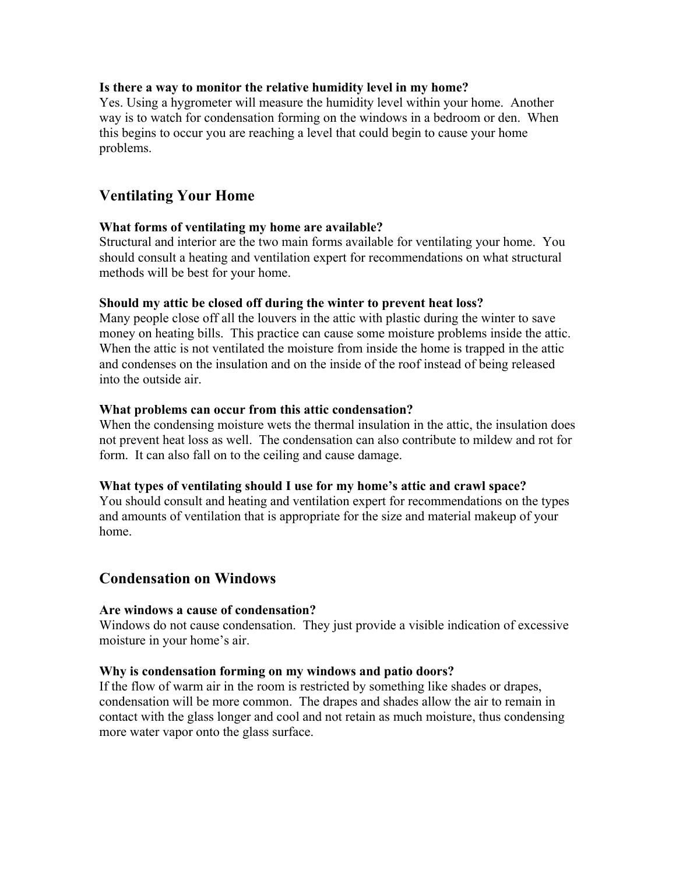## **Is there a way to monitor the relative humidity level in my home?**

Yes. Using a hygrometer will measure the humidity level within your home. Another way is to watch for condensation forming on the windows in a bedroom or den. When this begins to occur you are reaching a level that could begin to cause your home problems.

## **Ventilating Your Home**

## **What forms of ventilating my home are available?**

Structural and interior are the two main forms available for ventilating your home. You should consult a heating and ventilation expert for recommendations on what structural methods will be best for your home.

#### **Should my attic be closed off during the winter to prevent heat loss?**

Many people close off all the louvers in the attic with plastic during the winter to save money on heating bills. This practice can cause some moisture problems inside the attic. When the attic is not ventilated the moisture from inside the home is trapped in the attic and condenses on the insulation and on the inside of the roof instead of being released into the outside air.

#### **What problems can occur from this attic condensation?**

When the condensing moisture wets the thermal insulation in the attic, the insulation does not prevent heat loss as well. The condensation can also contribute to mildew and rot for form. It can also fall on to the ceiling and cause damage.

#### **What types of ventilating should I use for my home's attic and crawl space?**

You should consult and heating and ventilation expert for recommendations on the types and amounts of ventilation that is appropriate for the size and material makeup of your home.

## **Condensation on Windows**

## **Are windows a cause of condensation?**

Windows do not cause condensation. They just provide a visible indication of excessive moisture in your home's air.

## **Why is condensation forming on my windows and patio doors?**

If the flow of warm air in the room is restricted by something like shades or drapes, condensation will be more common. The drapes and shades allow the air to remain in contact with the glass longer and cool and not retain as much moisture, thus condensing more water vapor onto the glass surface.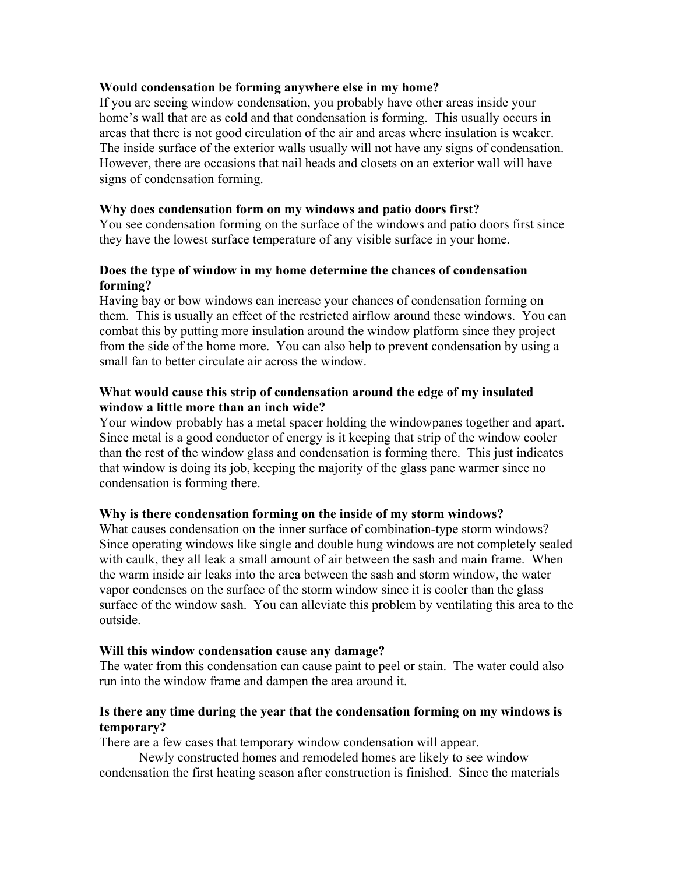### **Would condensation be forming anywhere else in my home?**

If you are seeing window condensation, you probably have other areas inside your home's wall that are as cold and that condensation is forming. This usually occurs in areas that there is not good circulation of the air and areas where insulation is weaker. The inside surface of the exterior walls usually will not have any signs of condensation. However, there are occasions that nail heads and closets on an exterior wall will have signs of condensation forming.

### **Why does condensation form on my windows and patio doors first?**

You see condensation forming on the surface of the windows and patio doors first since they have the lowest surface temperature of any visible surface in your home.

## **Does the type of window in my home determine the chances of condensation forming?**

Having bay or bow windows can increase your chances of condensation forming on them. This is usually an effect of the restricted airflow around these windows. You can combat this by putting more insulation around the window platform since they project from the side of the home more. You can also help to prevent condensation by using a small fan to better circulate air across the window.

## **What would cause this strip of condensation around the edge of my insulated window a little more than an inch wide?**

Your window probably has a metal spacer holding the windowpanes together and apart. Since metal is a good conductor of energy is it keeping that strip of the window cooler than the rest of the window glass and condensation is forming there. This just indicates that window is doing its job, keeping the majority of the glass pane warmer since no condensation is forming there.

## **Why is there condensation forming on the inside of my storm windows?**

What causes condensation on the inner surface of combination-type storm windows? Since operating windows like single and double hung windows are not completely sealed with caulk, they all leak a small amount of air between the sash and main frame. When the warm inside air leaks into the area between the sash and storm window, the water vapor condenses on the surface of the storm window since it is cooler than the glass surface of the window sash. You can alleviate this problem by ventilating this area to the outside.

## **Will this window condensation cause any damage?**

The water from this condensation can cause paint to peel or stain. The water could also run into the window frame and dampen the area around it.

## **Is there any time during the year that the condensation forming on my windows is temporary?**

There are a few cases that temporary window condensation will appear.

Newly constructed homes and remodeled homes are likely to see window condensation the first heating season after construction is finished. Since the materials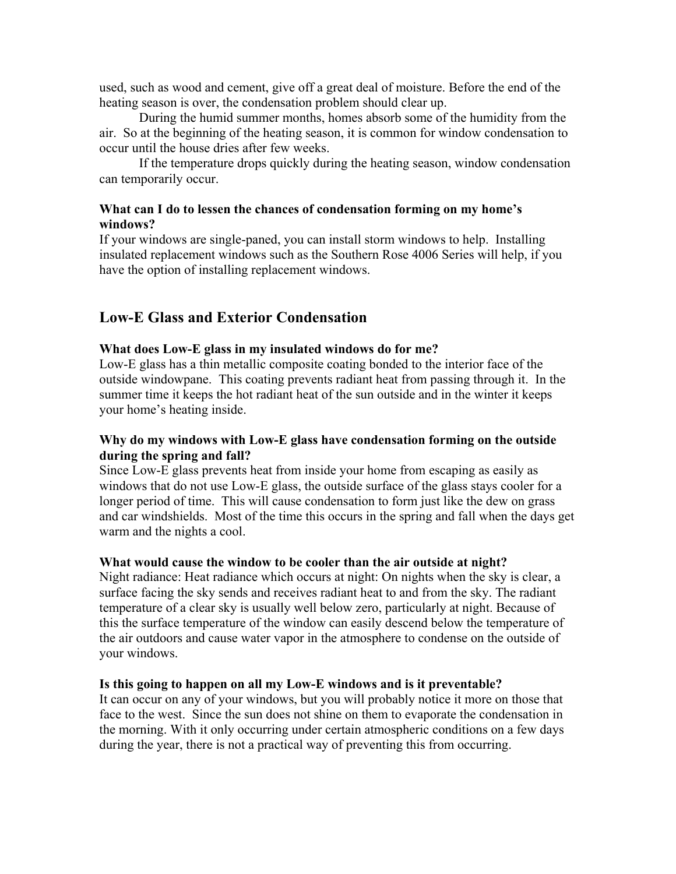used, such as wood and cement, give off a great deal of moisture. Before the end of the heating season is over, the condensation problem should clear up.

 During the humid summer months, homes absorb some of the humidity from the air. So at the beginning of the heating season, it is common for window condensation to occur until the house dries after few weeks.

 If the temperature drops quickly during the heating season, window condensation can temporarily occur.

## **What can I do to lessen the chances of condensation forming on my home's windows?**

If your windows are single-paned, you can install storm windows to help. Installing insulated replacement windows such as the Southern Rose 4006 Series will help, if you have the option of installing replacement windows.

## **Low-E Glass and Exterior Condensation**

## **What does Low-E glass in my insulated windows do for me?**

Low-E glass has a thin metallic composite coating bonded to the interior face of the outside windowpane. This coating prevents radiant heat from passing through it. In the summer time it keeps the hot radiant heat of the sun outside and in the winter it keeps your home's heating inside.

## **Why do my windows with Low-E glass have condensation forming on the outside during the spring and fall?**

Since Low-E glass prevents heat from inside your home from escaping as easily as windows that do not use Low-E glass, the outside surface of the glass stays cooler for a longer period of time. This will cause condensation to form just like the dew on grass and car windshields. Most of the time this occurs in the spring and fall when the days get warm and the nights a cool.

## **What would cause the window to be cooler than the air outside at night?**

Night radiance: Heat radiance which occurs at night: On nights when the sky is clear, a surface facing the sky sends and receives radiant heat to and from the sky. The radiant temperature of a clear sky is usually well below zero, particularly at night. Because of this the surface temperature of the window can easily descend below the temperature of the air outdoors and cause water vapor in the atmosphere to condense on the outside of your windows.

## **Is this going to happen on all my Low-E windows and is it preventable?**

It can occur on any of your windows, but you will probably notice it more on those that face to the west. Since the sun does not shine on them to evaporate the condensation in the morning. With it only occurring under certain atmospheric conditions on a few days during the year, there is not a practical way of preventing this from occurring.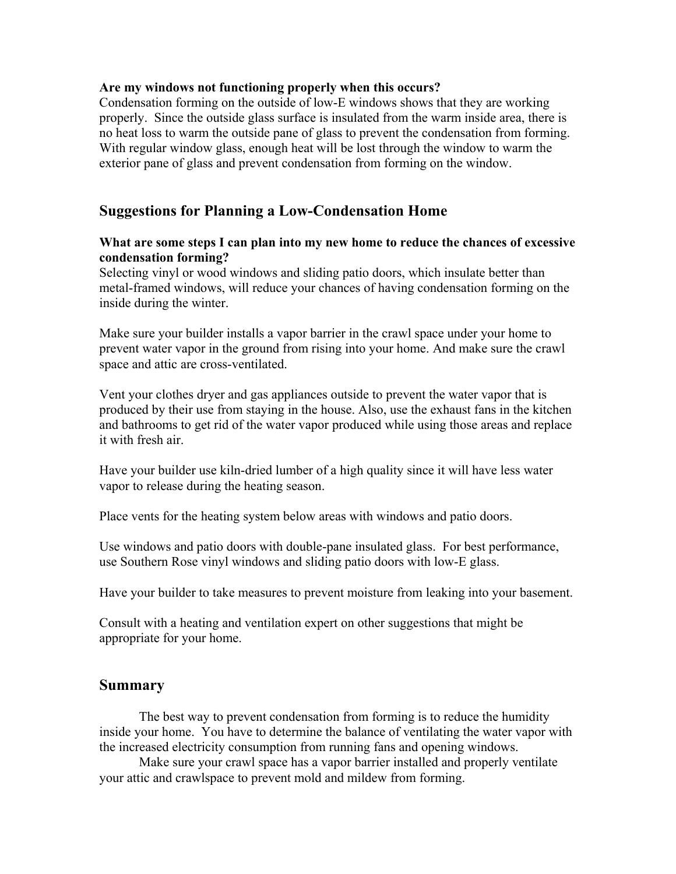### **Are my windows not functioning properly when this occurs?**

Condensation forming on the outside of low-E windows shows that they are working properly. Since the outside glass surface is insulated from the warm inside area, there is no heat loss to warm the outside pane of glass to prevent the condensation from forming. With regular window glass, enough heat will be lost through the window to warm the exterior pane of glass and prevent condensation from forming on the window.

## **Suggestions for Planning a Low-Condensation Home**

## **What are some steps I can plan into my new home to reduce the chances of excessive condensation forming?**

Selecting vinyl or wood windows and sliding patio doors, which insulate better than metal-framed windows, will reduce your chances of having condensation forming on the inside during the winter.

Make sure your builder installs a vapor barrier in the crawl space under your home to prevent water vapor in the ground from rising into your home. And make sure the crawl space and attic are cross-ventilated.

Vent your clothes dryer and gas appliances outside to prevent the water vapor that is produced by their use from staying in the house. Also, use the exhaust fans in the kitchen and bathrooms to get rid of the water vapor produced while using those areas and replace it with fresh air.

Have your builder use kiln-dried lumber of a high quality since it will have less water vapor to release during the heating season.

Place vents for the heating system below areas with windows and patio doors.

Use windows and patio doors with double-pane insulated glass. For best performance, use Southern Rose vinyl windows and sliding patio doors with low-E glass.

Have your builder to take measures to prevent moisture from leaking into your basement.

Consult with a heating and ventilation expert on other suggestions that might be appropriate for your home.

## **Summary**

The best way to prevent condensation from forming is to reduce the humidity inside your home. You have to determine the balance of ventilating the water vapor with the increased electricity consumption from running fans and opening windows.

Make sure your crawl space has a vapor barrier installed and properly ventilate your attic and crawlspace to prevent mold and mildew from forming.